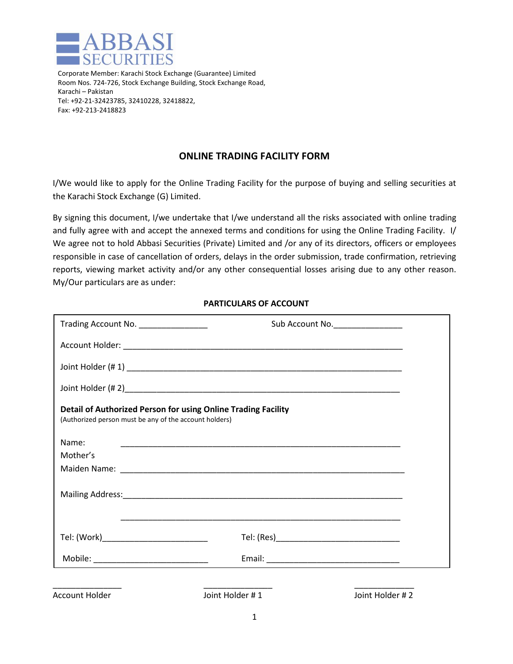

 Corporate Member: Karachi Stock Exchange (Guarantee) Limited Room Nos. 724-726, Stock Exchange Building, Stock Exchange Road, Karachi – Pakistan Tel: +92-21-32423785, 32410228, 32418822, Fax: +92-213-2418823

## **ONLINE TRADING FACILITY FORM**

I/We would like to apply for the Online Trading Facility for the purpose of buying and selling securities at the Karachi Stock Exchange (G) Limited.

By signing this document, I/we undertake that I/we understand all the risks associated with online trading and fully agree with and accept the annexed terms and conditions for using the Online Trading Facility. I/ We agree not to hold Abbasi Securities (Private) Limited and /or any of its directors, officers or employees responsible in case of cancellation of orders, delays in the order submission, trade confirmation, retrieving reports, viewing market activity and/or any other consequential losses arising due to any other reason. My/Our particulars are as under:

| Trading Account No. _______________                    | Sub Account No.                                                                                                       |  |
|--------------------------------------------------------|-----------------------------------------------------------------------------------------------------------------------|--|
|                                                        |                                                                                                                       |  |
|                                                        |                                                                                                                       |  |
|                                                        |                                                                                                                       |  |
| (Authorized person must be any of the account holders) | Detail of Authorized Person for using Online Trading Facility                                                         |  |
| Name:                                                  |                                                                                                                       |  |
| Mother's                                               |                                                                                                                       |  |
|                                                        |                                                                                                                       |  |
|                                                        |                                                                                                                       |  |
| Tel: (Work)___________________________                 | <u> 1989 - Johann John Stoff, deutscher Stoff, der Stoff, der Stoff, der Stoff, der Stoff, der Stoff, der Stoff, </u> |  |
| Mobile: ______________________________                 |                                                                                                                       |  |
| <b>Account Holder</b>                                  | Joint Holder #1<br>Joint Holder #2                                                                                    |  |

## **PARTICULARS OF ACCOUNT**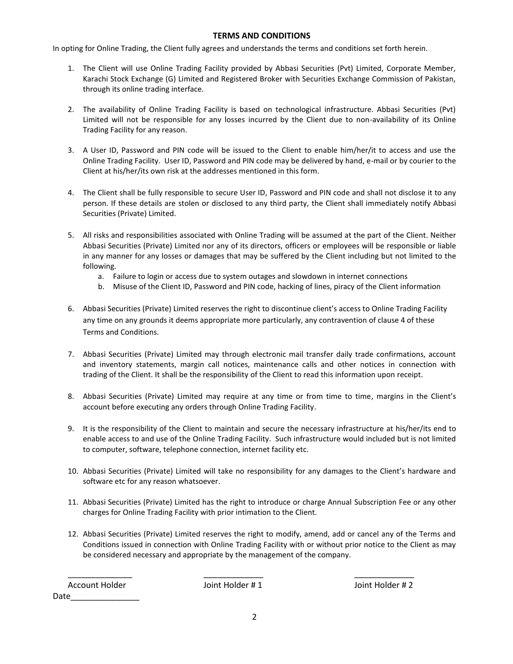## **TERMS AND CONDITIONS**

In opting for Online Trading, the Client fully agrees and understands the terms and conditions set forth herein.

- 1. The Client will use Online Trading Facility provided by Abbasi Securities (Pvt) Limited, Corporate Member, Karachi Stock Exchange (G) Limited and Registered Broker with Securities Exchange Commission of Pakistan, through its online trading interface.
- 2. The availability of Online Trading Facility is based on technological infrastructure. Abbasi Securities (Pvt) Limited will not be responsible for any losses incurred by the Client due to non-availability of its Online Trading Facility for any reason.
- 3. A User ID, Password and PIN code will be issued to the Client to enable him/her/it to access and use the Online Trading Facility. User ID, Password and PIN code may be delivered by hand, e-mail or by courier to the Client at his/her/its own risk at the addresses mentioned in this form.
- 4. The Client shall be fully responsible to secure User ID, Password and PIN code and shall not disclose it to any person. If these details are stolen or disclosed to any third party, the Client shall immediately notify Abbasi Securities (Private) Limited.
- 5. All risks and responsibilities associated with Online Trading will be assumed at the part of the Client. Neither Abbasi Securities (Private) Limited nor any of its directors, officers or employees will be responsible or liable in any manner for any losses or damages that may be suffered by the Client including but not limited to the following.
	- a. Failure to login or access due to system outages and slowdown in internet connections
	- b. Misuse of the Client ID, Password and PIN code, hacking of lines, piracy of the Client information
- 6. Abbasi Securities (Private) Limited reserves the right to discontinue client's access to Online Trading Facility any time on any grounds it deems appropriate more particularly, any contravention of clause 4 of these Terms and Conditions.
- 7. Abbasi Securities (Private) Limited may through electronic mail transfer daily trade confirmations, account and inventory statements, margin call notices, maintenance calls and other notices in connection with trading of the Client. It shall be the responsibility of the Client to read this information upon receipt.
- 8. Abbasi Securities (Private) Limited may require at any time or from time to time, margins in the Client's account before executing any orders through Online Trading Facility.
- 9. It is the responsibility of the Client to maintain and secure the necessary infrastructure at his/her/its end to enable access to and use of the Online Trading Facility. Such infrastructure would included but is not limited to computer, software, telephone connection, internet facility etc.
- 10. Abbasi Securities (Private) Limited will take no responsibility for any damages to the Client's hardware and software etc for any reason whatsoever.
- 11. Abbasi Securities (Private) Limited has the right to introduce or charge Annual Subscription Fee or any other charges for Online Trading Facility with prior intimation to the Client.
- 12. Abbasi Securities (Private) Limited reserves the right to modify, amend, add or cancel any of the Terms and Conditions issued in connection with Online Trading Facility with or without prior notice to the Client as may be considered necessary and appropriate by the management of the company.

| Account Holder | Joint Holder #1 | Joint Holder #2 |
|----------------|-----------------|-----------------|
| Date           |                 |                 |